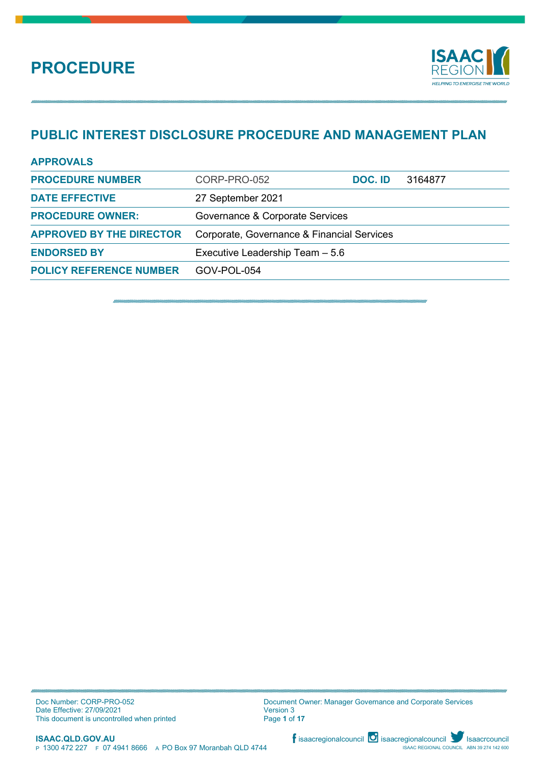

## **PUBLIC INTEREST DISCLOSURE PROCEDURE AND MANAGEMENT PLAN**

| <b>APPROVALS</b>                |                                            |         |         |
|---------------------------------|--------------------------------------------|---------|---------|
| <b>PROCEDURE NUMBER</b>         | CORP-PRO-052                               | DOC. ID | 3164877 |
| <b>DATE EFFECTIVE</b>           | 27 September 2021                          |         |         |
| <b>PROCEDURE OWNER:</b>         | Governance & Corporate Services            |         |         |
| <b>APPROVED BY THE DIRECTOR</b> | Corporate, Governance & Financial Services |         |         |
| <b>ENDORSED BY</b>              | Executive Leadership Team - 5.6            |         |         |
| <b>POLICY REFERENCE NUMBER</b>  | GOV-POL-054                                |         |         |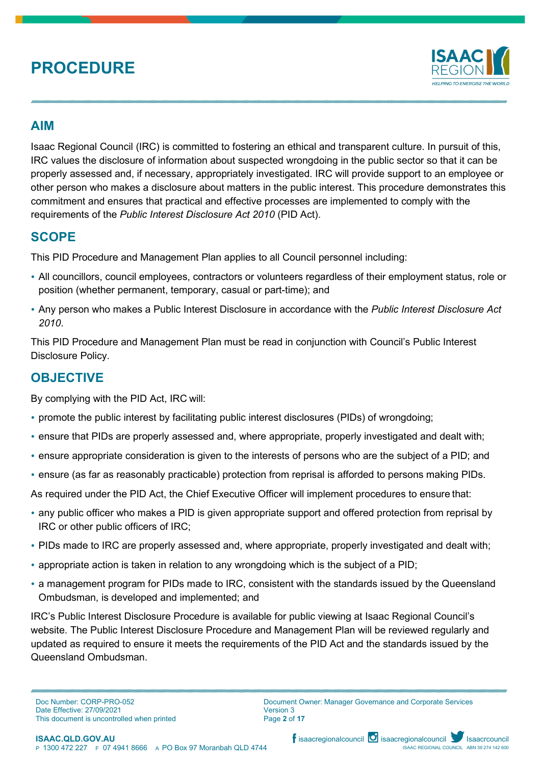

## **AIM**

Isaac Regional Council (IRC) is committed to fostering an ethical and transparent culture. In pursuit of this, IRC values the disclosure of information about suspected wrongdoing in the public sector so that it can be properly assessed and, if necessary, appropriately investigated. IRC will provide support to an employee or other person who makes a disclosure about matters in the public interest. This procedure demonstrates this commitment and ensures that practical and effective processes are implemented to comply with the requirements of the *Public Interest Disclosure Act 2010* (PID Act).

## **SCOPE**

This PID Procedure and Management Plan applies to all Council personnel including:

- All councillors, council employees, contractors or volunteers regardless of their employment status, role or position (whether permanent, temporary, casual or part-time); and
- Any person who makes a Public Interest Disclosure in accordance with the *Public Interest Disclosure Act 2010*.

This PID Procedure and Management Plan must be read in conjunction with Council's Public Interest Disclosure Policy.

## **OBJECTIVE**

By complying with the PID Act, IRC will:

- promote the public interest by facilitating public interest disclosures (PIDs) of wrongdoing;
- ensure that PIDs are properly assessed and, where appropriate, properly investigated and dealt with;
- ensure appropriate consideration is given to the interests of persons who are the subject of a PID; and
- ensure (as far as reasonably practicable) protection from reprisal is afforded to persons making PIDs.

As required under the PID Act, the Chief Executive Officer will implement procedures to ensure that:

- any public officer who makes a PID is given appropriate support and offered protection from reprisal by IRC or other public officers of IRC;
- PIDs made to IRC are properly assessed and, where appropriate, properly investigated and dealt with;
- appropriate action is taken in relation to any wrongdoing which is the subject of a PID;
- a management program for PIDs made to IRC, consistent with the standards issued by the Queensland Ombudsman, is developed and implemented; and

IRC's Public Interest Disclosure Procedure is available for public viewing at Isaac Regional Council's website. The Public Interest Disclosure Procedure and Management Plan will be reviewed regularly and updated as required to ensure it meets the requirements of the PID Act and the standards issued by the Queensland Ombudsman.

Document Owner: Manager Governance and Corporate Services Version 3 Page **2** of **17**

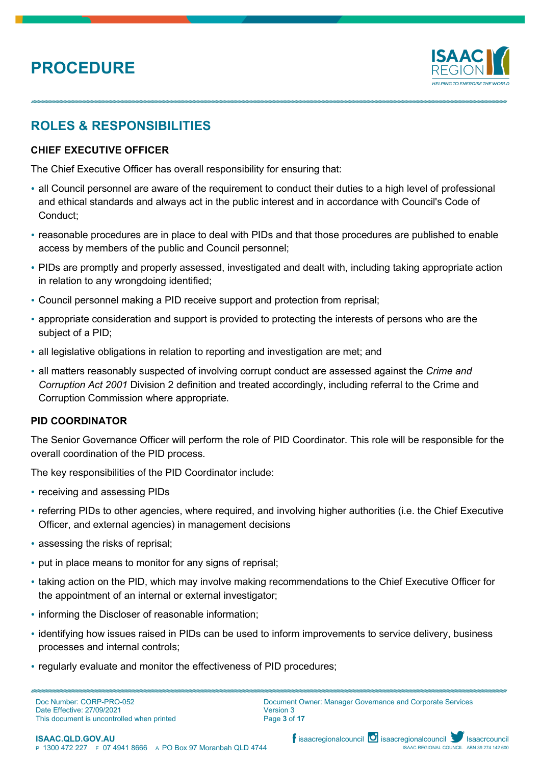

## **ROLES & RESPONSIBILITIES**

### **CHIEF EXECUTIVE OFFICER**

The Chief Executive Officer has overall responsibility for ensuring that:

- all Council personnel are aware of the requirement to conduct their duties to a high level of professional and ethical standards and always act in the public interest and in accordance with Council's Code of Conduct;
- reasonable procedures are in place to deal with PIDs and that those procedures are published to enable access by members of the public and Council personnel;
- PIDs are promptly and properly assessed, investigated and dealt with, including taking appropriate action in relation to any wrongdoing identified;
- Council personnel making a PID receive support and protection from reprisal;
- appropriate consideration and support is provided to protecting the interests of persons who are the subject of a PID;
- all legislative obligations in relation to reporting and investigation are met; and
- all matters reasonably suspected of involving corrupt conduct are assessed against the *Crime and Corruption Act 2001* Division 2 definition and treated accordingly, including referral to the Crime and Corruption Commission where appropriate.

#### **PID COORDINATOR**

The Senior Governance Officer will perform the role of PID Coordinator. This role will be responsible for the overall coordination of the PID process.

The key responsibilities of the PID Coordinator include:

- receiving and assessing PIDs
- referring PIDs to other agencies, where required, and involving higher authorities (i.e. the Chief Executive Officer, and external agencies) in management decisions
- assessing the risks of reprisal;
- put in place means to monitor for any signs of reprisal;
- taking action on the PID, which may involve making recommendations to the Chief Executive Officer for the appointment of an internal or external investigator;
- informing the Discloser of reasonable information;
- identifying how issues raised in PIDs can be used to inform improvements to service delivery, business processes and internal controls;
- regularly evaluate and monitor the effectiveness of PID procedures;

Doc Number: CORP-PRO-052 Date Effective: 27/09/2021 This document is uncontrolled when printed



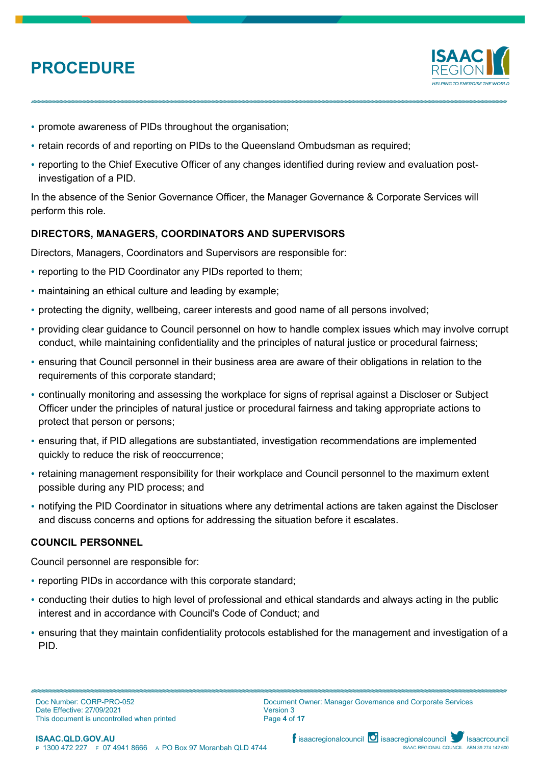

- promote awareness of PIDs throughout the organisation;
- retain records of and reporting on PIDs to the Queensland Ombudsman as required;
- reporting to the Chief Executive Officer of any changes identified during review and evaluation postinvestigation of a PID.

In the absence of the Senior Governance Officer, the Manager Governance & Corporate Services will perform this role.

## **DIRECTORS, MANAGERS, COORDINATORS AND SUPERVISORS**

Directors, Managers, Coordinators and Supervisors are responsible for:

- reporting to the PID Coordinator any PIDs reported to them;
- maintaining an ethical culture and leading by example;
- protecting the dignity, wellbeing, career interests and good name of all persons involved;
- providing clear guidance to Council personnel on how to handle complex issues which may involve corrupt conduct, while maintaining confidentiality and the principles of natural justice or procedural fairness;
- ensuring that Council personnel in their business area are aware of their obligations in relation to the requirements of this corporate standard;
- continually monitoring and assessing the workplace for signs of reprisal against a Discloser or Subject Officer under the principles of natural justice or procedural fairness and taking appropriate actions to protect that person or persons;
- ensuring that, if PID allegations are substantiated, investigation recommendations are implemented quickly to reduce the risk of reoccurrence;
- retaining management responsibility for their workplace and Council personnel to the maximum extent possible during any PID process; and
- notifying the PID Coordinator in situations where any detrimental actions are taken against the Discloser and discuss concerns and options for addressing the situation before it escalates.

### **COUNCIL PERSONNEL**

Council personnel are responsible for:

- reporting PIDs in accordance with this corporate standard;
- conducting their duties to high level of professional and ethical standards and always acting in the public interest and in accordance with Council's Code of Conduct; and
- ensuring that they maintain confidentiality protocols established for the management and investigation of a PID.



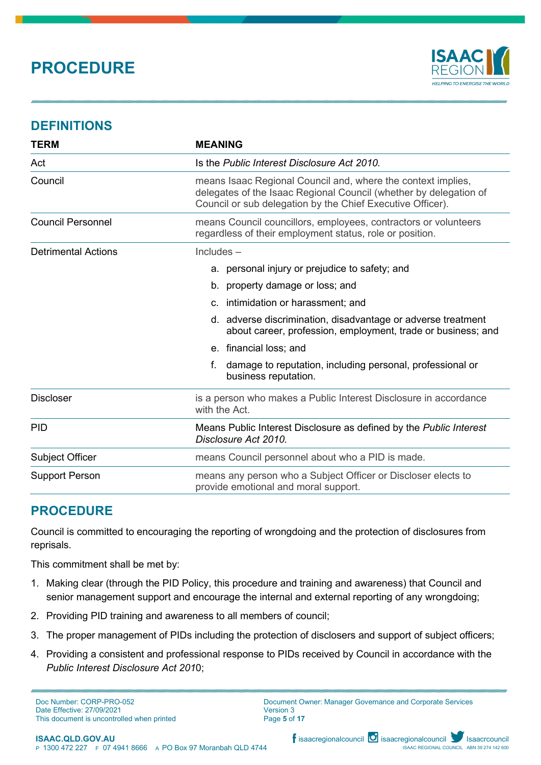

## **DEFINITIONS**

| <b>TERM</b>                | <b>MEANING</b>                                                                                                                                                                                  |  |
|----------------------------|-------------------------------------------------------------------------------------------------------------------------------------------------------------------------------------------------|--|
| Act                        | Is the Public Interest Disclosure Act 2010.                                                                                                                                                     |  |
| Council                    | means Isaac Regional Council and, where the context implies,<br>delegates of the Isaac Regional Council (whether by delegation of<br>Council or sub delegation by the Chief Executive Officer). |  |
| <b>Council Personnel</b>   | means Council councillors, employees, contractors or volunteers<br>regardless of their employment status, role or position.                                                                     |  |
| <b>Detrimental Actions</b> | $Includes -$                                                                                                                                                                                    |  |
|                            | a. personal injury or prejudice to safety; and                                                                                                                                                  |  |
|                            | b. property damage or loss; and                                                                                                                                                                 |  |
|                            | c. intimidation or harassment; and                                                                                                                                                              |  |
|                            | d. adverse discrimination, disadvantage or adverse treatment<br>about career, profession, employment, trade or business; and                                                                    |  |
|                            | e. financial loss; and                                                                                                                                                                          |  |
|                            | f.<br>damage to reputation, including personal, professional or<br>business reputation.                                                                                                         |  |
| <b>Discloser</b>           | is a person who makes a Public Interest Disclosure in accordance<br>with the Act.                                                                                                               |  |
| <b>PID</b>                 | Means Public Interest Disclosure as defined by the Public Interest<br>Disclosure Act 2010.                                                                                                      |  |
| Subject Officer            | means Council personnel about who a PID is made.                                                                                                                                                |  |
| <b>Support Person</b>      | means any person who a Subject Officer or Discloser elects to<br>provide emotional and moral support.                                                                                           |  |

## **PROCEDURE**

Council is committed to encouraging the reporting of wrongdoing and the protection of disclosures from reprisals.

This commitment shall be met by:

- 1. Making clear (through the PID Policy, this procedure and training and awareness) that Council and senior management support and encourage the internal and external reporting of any wrongdoing;
- 2. Providing PID training and awareness to all members of council;
- 3. The proper management of PIDs including the protection of disclosers and support of subject officers;
- 4. Providing a consistent and professional response to PIDs received by Council in accordance with the *Public Interest Disclosure Act 201*0;

Doc Number: CORP-PRO-052 Date Effective: 27/09/2021 This document is uncontrolled when printed Document Owner: Manager Governance and Corporate Services Version 3 Page **5** of **17**

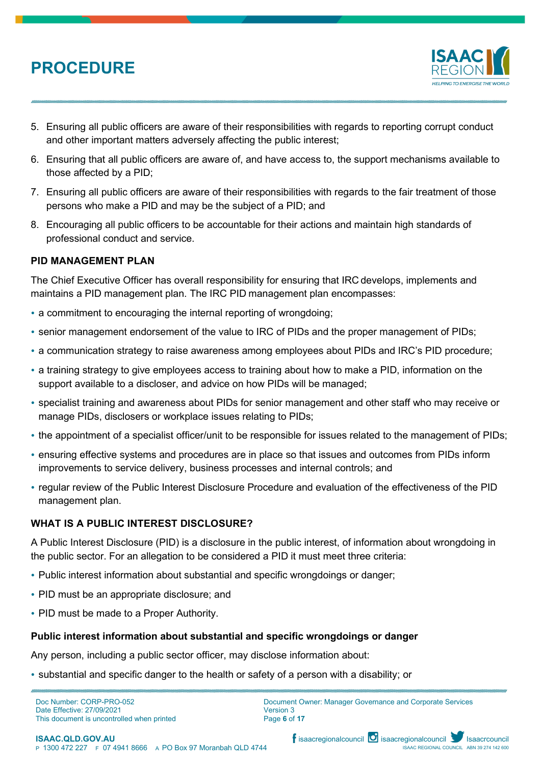

- 5. Ensuring all public officers are aware of their responsibilities with regards to reporting corrupt conduct and other important matters adversely affecting the public interest;
- 6. Ensuring that all public officers are aware of, and have access to, the support mechanisms available to those affected by a PID;
- 7. Ensuring all public officers are aware of their responsibilities with regards to the fair treatment of those persons who make a PID and may be the subject of a PID; and
- 8. Encouraging all public officers to be accountable for their actions and maintain high standards of professional conduct and service.

### **PID MANAGEMENT PLAN**

The Chief Executive Officer has overall responsibility for ensuring that IRC develops, implements and maintains a PID management plan. The IRC PID management plan encompasses:

- a commitment to encouraging the internal reporting of wrongdoing;
- senior management endorsement of the value to IRC of PIDs and the proper management of PIDs;
- a communication strategy to raise awareness among employees about PIDs and IRC's PID procedure;
- a training strategy to give employees access to training about how to make a PID, information on the support available to a discloser, and advice on how PIDs will be managed;
- specialist training and awareness about PIDs for senior management and other staff who may receive or manage PIDs, disclosers or workplace issues relating to PIDs;
- the appointment of a specialist officer/unit to be responsible for issues related to the management of PIDs;
- ensuring effective systems and procedures are in place so that issues and outcomes from PIDs inform improvements to service delivery, business processes and internal controls; and
- regular review of the Public Interest Disclosure Procedure and evaluation of the effectiveness of the PID management plan.

### **WHAT IS A PUBLIC INTEREST DISCLOSURE?**

A Public Interest Disclosure (PID) is a disclosure in the public interest, of information about wrongdoing in the public sector. For an allegation to be considered a PID it must meet three criteria:

- Public interest information about substantial and specific wrongdoings or danger;
- PID must be an appropriate disclosure; and
- PID must be made to a Proper Authority.

### **Public interest information about substantial and specific wrongdoings or danger**

Any person, including a public sector officer, may disclose information about:

substantial and specific danger to the health or safety of a person with a disability; or

Doc Number: CORP-PRO-052 Date Effective: 27/09/2021 This document is uncontrolled when printed Document Owner: Manager Governance and Corporate Services Version 3 Page **6** of **17**



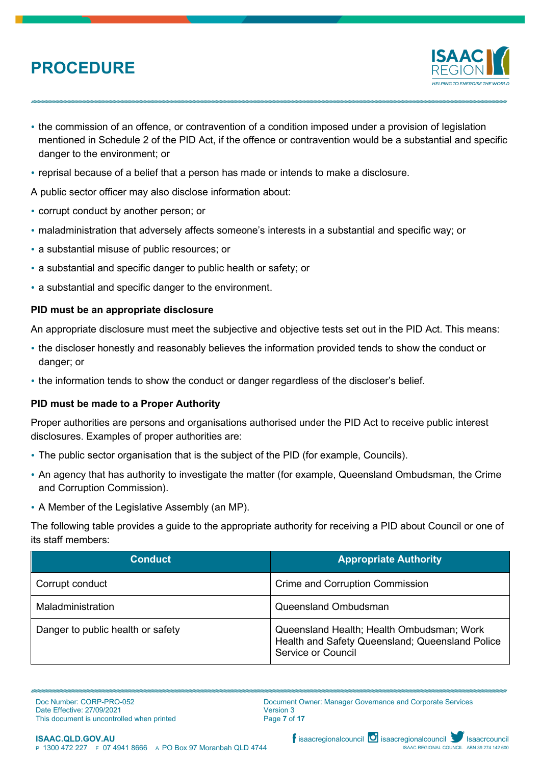

- the commission of an offence, or contravention of a condition imposed under a provision of legislation mentioned in Schedule 2 of the PID Act, if the offence or contravention would be a substantial and specific danger to the environment; or
- reprisal because of a belief that a person has made or intends to make a disclosure.

A public sector officer may also disclose information about:

- corrupt conduct by another person; or
- maladministration that adversely affects someone's interests in a substantial and specific way; or
- a substantial misuse of public resources; or
- a substantial and specific danger to public health or safety; or
- a substantial and specific danger to the environment.

### **PID must be an appropriate disclosure**

An appropriate disclosure must meet the subjective and objective tests set out in the PID Act. This means:

- the discloser honestly and reasonably believes the information provided tends to show the conduct or danger; or
- the information tends to show the conduct or danger regardless of the discloser's belief.

### **PID must be made to a Proper Authority**

Proper authorities are persons and organisations authorised under the PID Act to receive public interest disclosures. Examples of proper authorities are:

- The public sector organisation that is the subject of the PID (for example, Councils).
- An agency that has authority to investigate the matter (for example, Queensland Ombudsman, the Crime and Corruption Commission).
- A Member of the Legislative Assembly (an MP).

The following table provides a guide to the appropriate authority for receiving a PID about Council or one of its staff members:

| <b>Conduct</b>                    | <b>Appropriate Authority</b>                                                                                              |
|-----------------------------------|---------------------------------------------------------------------------------------------------------------------------|
| Corrupt conduct                   | <b>Crime and Corruption Commission</b>                                                                                    |
| Maladministration                 | Queensland Ombudsman                                                                                                      |
| Danger to public health or safety | Queensland Health; Health Ombudsman; Work<br>Health and Safety Queensland; Queensland Police<br><b>Service or Council</b> |

Doc Number: CORP-PRO-052 Date Effective: 27/09/2021 This document is uncontrolled when printed Document Owner: Manager Governance and Corporate Services Version 3 Page **7** of **17**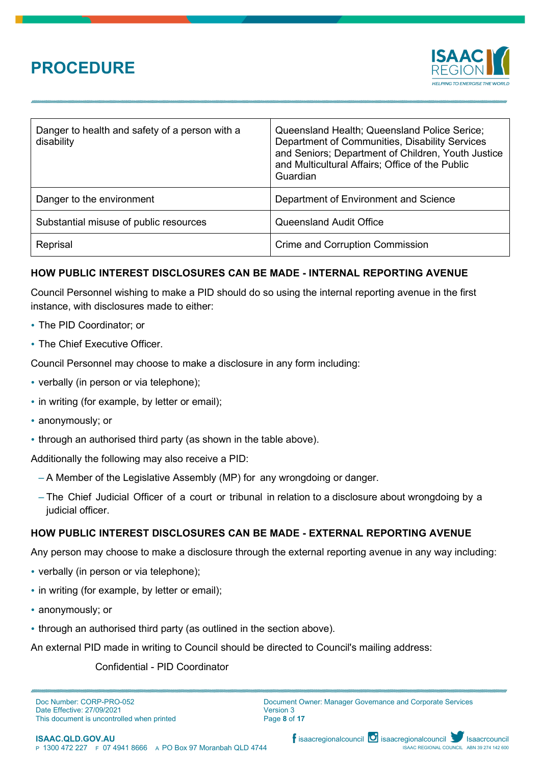

| Danger to health and safety of a person with a<br>disability | Queensland Health; Queensland Police Serice;<br>Department of Communities, Disability Services<br>and Seniors; Department of Children, Youth Justice<br>and Multicultural Affairs; Office of the Public<br>Guardian |
|--------------------------------------------------------------|---------------------------------------------------------------------------------------------------------------------------------------------------------------------------------------------------------------------|
| Danger to the environment                                    | Department of Environment and Science                                                                                                                                                                               |
| Substantial misuse of public resources                       | <b>Queensland Audit Office</b>                                                                                                                                                                                      |
| Reprisal                                                     | <b>Crime and Corruption Commission</b>                                                                                                                                                                              |

## **HOW PUBLIC INTEREST DISCLOSURES CAN BE MADE - INTERNAL REPORTING AVENUE**

Council Personnel wishing to make a PID should do so using the internal reporting avenue in the first instance, with disclosures made to either:

- The PID Coordinator; or
- The Chief Executive Officer.

Council Personnel may choose to make a disclosure in any form including:

- verbally (in person or via telephone);
- in writing (for example, by letter or email);
- anonymously; or
- through an authorised third party (as shown in the table above).

Additionally the following may also receive a PID:

- A Member of the Legislative Assembly (MP) for any wrongdoing or danger.
- The Chief Judicial Officer of a court or tribunal in relation to a disclosure about wrongdoing by a judicial officer.

### **HOW PUBLIC INTEREST DISCLOSURES CAN BE MADE - EXTERNAL REPORTING AVENUE**

Any person may choose to make a disclosure through the external reporting avenue in any way including:

- verbally (in person or via telephone);
- in writing (for example, by letter or email);
- anonymously; or
- through an authorised third party (as outlined in the section above).

An external PID made in writing to Council should be directed to Council's mailing address:

#### Confidential - PID Coordinator

Doc Number: CORP-PRO-052 Date Effective: 27/09/2021 This document is uncontrolled when printed Document Owner: Manager Governance and Corporate Services Version 3 Page **8** of **17**

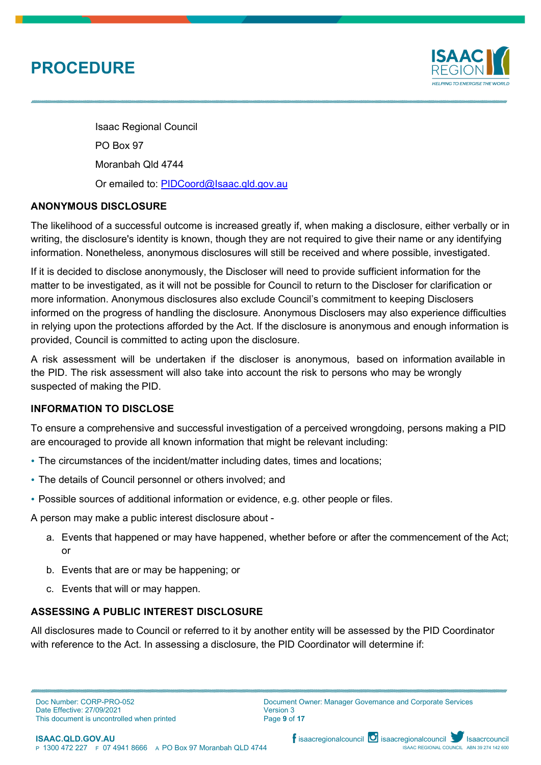

Isaac Regional Council PO Box 97 Moranbah Qld 4744 Or emailed to: [PIDCoord@Isaac.qld.gov.au](mailto:PIDCoord@Isaac.qld.gov.au)

## **ANONYMOUS DISCLOSURE**

The likelihood of a successful outcome is increased greatly if, when making a disclosure, either verbally or in writing, the disclosure's identity is known, though they are not required to give their name or any identifying information. Nonetheless, anonymous disclosures will still be received and where possible, investigated.

If it is decided to disclose anonymously, the Discloser will need to provide sufficient information for the matter to be investigated, as it will not be possible for Council to return to the Discloser for clarification or more information. Anonymous disclosures also exclude Council's commitment to keeping Disclosers informed on the progress of handling the disclosure. Anonymous Disclosers may also experience difficulties in relying upon the protections afforded by the Act. If the disclosure is anonymous and enough information is provided, Council is committed to acting upon the disclosure.

A risk assessment will be undertaken if the discloser is anonymous, based on information available in the PID. The risk assessment will also take into account the risk to persons who may be wrongly suspected of making the PID.

### **INFORMATION TO DISCLOSE**

To ensure a comprehensive and successful investigation of a perceived wrongdoing, persons making a PID are encouraged to provide all known information that might be relevant including:

- The circumstances of the incident/matter including dates, times and locations;
- The details of Council personnel or others involved; and
- Possible sources of additional information or evidence, e.g. other people or files.

A person may make a public interest disclosure about -

- a. Events that happened or may have happened, whether before or after the commencement of the Act; or
- b. Events that are or may be happening; or
- c. Events that will or may happen.

## **ASSESSING A PUBLIC INTEREST DISCLOSURE**

All disclosures made to Council or referred to it by another entity will be assessed by the PID Coordinator with reference to the Act. In assessing a disclosure, the PID Coordinator will determine if:

Doc Number: CORP-PRO-052 Date Effective: 27/09/2021 This document is uncontrolled when printed Document Owner: Manager Governance and Corporate Services Version 3 Page **9** of **17**

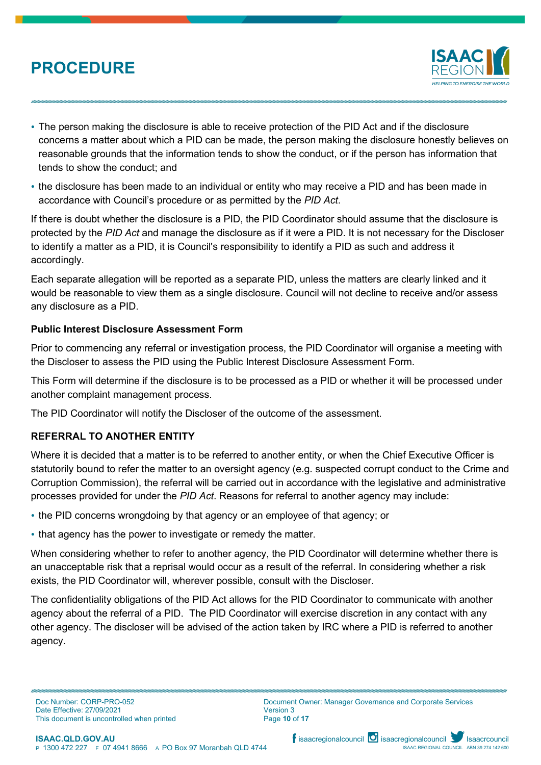

- The person making the disclosure is able to receive protection of the PID Act and if the disclosure concerns a matter about which a PID can be made, the person making the disclosure honestly believes on reasonable grounds that the information tends to show the conduct, or if the person has information that tends to show the conduct; and
- the disclosure has been made to an individual or entity who may receive a PID and has been made in accordance with Council's procedure or as permitted by the *PID Act*.

If there is doubt whether the disclosure is a PID, the PID Coordinator should assume that the disclosure is protected by the *PID Act* and manage the disclosure as if it were a PID. It is not necessary for the Discloser to identify a matter as a PID, it is Council's responsibility to identify a PID as such and address it accordingly.

Each separate allegation will be reported as a separate PID, unless the matters are clearly linked and it would be reasonable to view them as a single disclosure. Council will not decline to receive and/or assess any disclosure as a PID.

## **Public Interest Disclosure Assessment Form**

Prior to commencing any referral or investigation process, the PID Coordinator will organise a meeting with the Discloser to assess the PID using the Public Interest Disclosure Assessment Form.

This Form will determine if the disclosure is to be processed as a PID or whether it will be processed under another complaint management process.

The PID Coordinator will notify the Discloser of the outcome of the assessment.

## **REFERRAL TO ANOTHER ENTITY**

Where it is decided that a matter is to be referred to another entity, or when the Chief Executive Officer is statutorily bound to refer the matter to an oversight agency (e.g. suspected corrupt conduct to the Crime and Corruption Commission), the referral will be carried out in accordance with the legislative and administrative processes provided for under the *PID Act*. Reasons for referral to another agency may include:

- the PID concerns wrongdoing by that agency or an employee of that agency; or
- that agency has the power to investigate or remedy the matter.

When considering whether to refer to another agency, the PID Coordinator will determine whether there is an unacceptable risk that a reprisal would occur as a result of the referral. In considering whether a risk exists, the PID Coordinator will, wherever possible, consult with the Discloser.

The confidentiality obligations of the PID Act allows for the PID Coordinator to communicate with another agency about the referral of a PID. The PID Coordinator will exercise discretion in any contact with any other agency. The discloser will be advised of the action taken by IRC where a PID is referred to another agency.



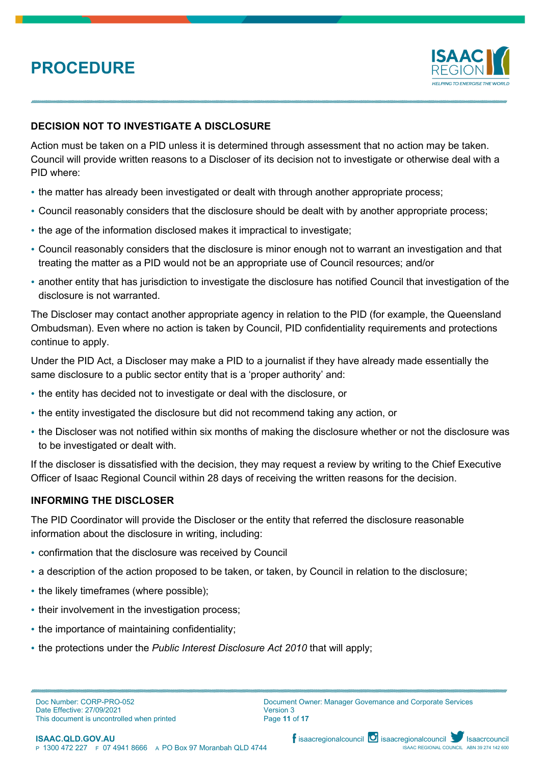

## **DECISION NOT TO INVESTIGATE A DISCLOSURE**

Action must be taken on a PID unless it is determined through assessment that no action may be taken. Council will provide written reasons to a Discloser of its decision not to investigate or otherwise deal with a PID where:

- the matter has already been investigated or dealt with through another appropriate process;
- Council reasonably considers that the disclosure should be dealt with by another appropriate process;
- the age of the information disclosed makes it impractical to investigate;
- Council reasonably considers that the disclosure is minor enough not to warrant an investigation and that treating the matter as a PID would not be an appropriate use of Council resources; and/or
- another entity that has jurisdiction to investigate the disclosure has notified Council that investigation of the disclosure is not warranted.

The Discloser may contact another appropriate agency in relation to the PID (for example, the Queensland Ombudsman). Even where no action is taken by Council, PID confidentiality requirements and protections continue to apply.

Under the PID Act, a Discloser may make a PID to a journalist if they have already made essentially the same disclosure to a public sector entity that is a 'proper authority' and:

- the entity has decided not to investigate or deal with the disclosure, or
- the entity investigated the disclosure but did not recommend taking any action, or
- the Discloser was not notified within six months of making the disclosure whether or not the disclosure was to be investigated or dealt with.

If the discloser is dissatisfied with the decision, they may request a review by writing to the Chief Executive Officer of Isaac Regional Council within 28 days of receiving the written reasons for the decision.

#### **INFORMING THE DISCLOSER**

The PID Coordinator will provide the Discloser or the entity that referred the disclosure reasonable information about the disclosure in writing, including:

- confirmation that the disclosure was received by Council
- a description of the action proposed to be taken, or taken, by Council in relation to the disclosure;
- the likely timeframes (where possible);
- their involvement in the investigation process;
- the importance of maintaining confidentiality;
- the protections under the *Public Interest Disclosure Act 2010* that will apply;



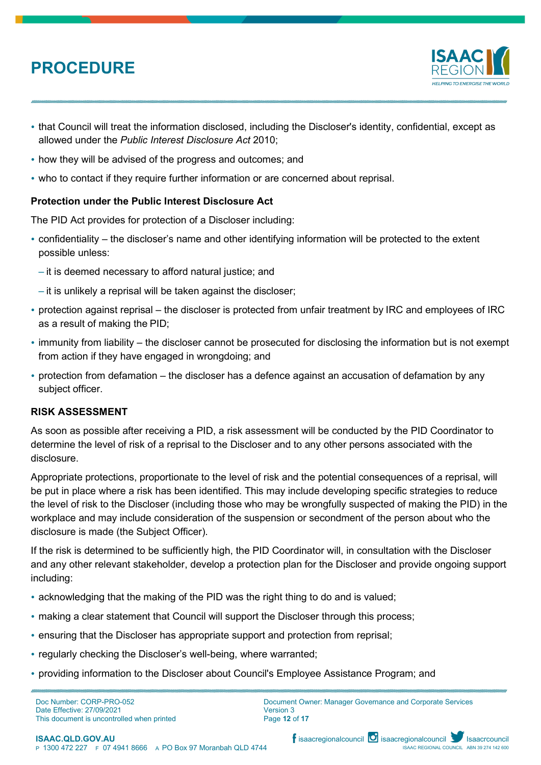

- that Council will treat the information disclosed, including the Discloser's identity, confidential, except as allowed under the *Public Interest Disclosure Act* 2010;
- how they will be advised of the progress and outcomes; and
- who to contact if they require further information or are concerned about reprisal.

### **Protection under the Public Interest Disclosure Act**

The PID Act provides for protection of a Discloser including:

- confidentiality the discloser's name and other identifying information will be protected to the extent possible unless:
	- it is deemed necessary to afford natural justice; and
	- it is unlikely a reprisal will be taken against the discloser;
- protection against reprisal the discloser is protected from unfair treatment by IRC and employees of IRC as a result of making the PID;
- immunity from liability the discloser cannot be prosecuted for disclosing the information but is not exempt from action if they have engaged in wrongdoing; and
- protection from defamation the discloser has a defence against an accusation of defamation by any subject officer.

### **RISK ASSESSMENT**

As soon as possible after receiving a PID, a risk assessment will be conducted by the PID Coordinator to determine the level of risk of a reprisal to the Discloser and to any other persons associated with the disclosure.

Appropriate protections, proportionate to the level of risk and the potential consequences of a reprisal, will be put in place where a risk has been identified. This may include developing specific strategies to reduce the level of risk to the Discloser (including those who may be wrongfully suspected of making the PID) in the workplace and may include consideration of the suspension or secondment of the person about who the disclosure is made (the Subject Officer).

If the risk is determined to be sufficiently high, the PID Coordinator will, in consultation with the Discloser and any other relevant stakeholder, develop a protection plan for the Discloser and provide ongoing support including:

- acknowledging that the making of the PID was the right thing to do and is valued;
- making a clear statement that Council will support the Discloser through this process;
- ensuring that the Discloser has appropriate support and protection from reprisal;
- regularly checking the Discloser's well-being, where warranted;
- providing information to the Discloser about Council's Employee Assistance Program; and

Doc Number: CORP-PRO-052 Date Effective: 27/09/2021 This document is uncontrolled when printed Document Owner: Manager Governance and Corporate Services Version 3 Page **12** of **17**

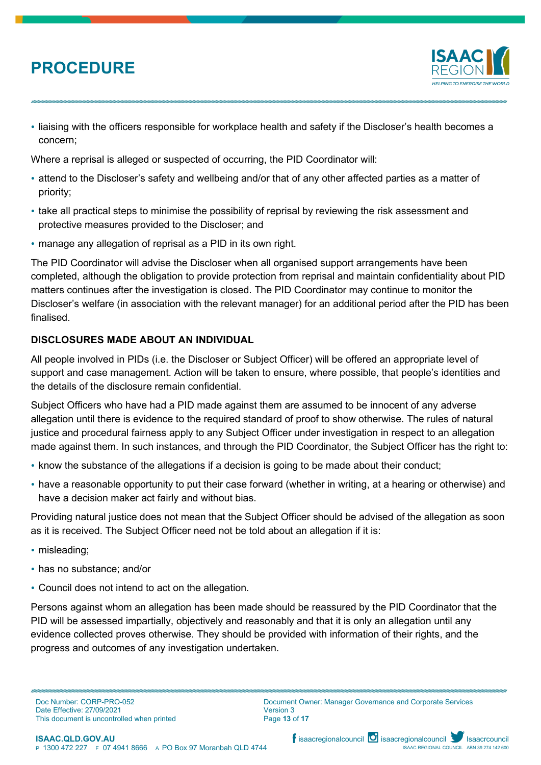

 liaising with the officers responsible for workplace health and safety if the Discloser's health becomes a concern;

Where a reprisal is alleged or suspected of occurring, the PID Coordinator will:

- attend to the Discloser's safety and wellbeing and/or that of any other affected parties as a matter of priority;
- take all practical steps to minimise the possibility of reprisal by reviewing the risk assessment and protective measures provided to the Discloser; and
- manage any allegation of reprisal as a PID in its own right.

The PID Coordinator will advise the Discloser when all organised support arrangements have been completed, although the obligation to provide protection from reprisal and maintain confidentiality about PID matters continues after the investigation is closed. The PID Coordinator may continue to monitor the Discloser's welfare (in association with the relevant manager) for an additional period after the PID has been finalised.

## **DISCLOSURES MADE ABOUT AN INDIVIDUAL**

All people involved in PIDs (i.e. the Discloser or Subject Officer) will be offered an appropriate level of support and case management. Action will be taken to ensure, where possible, that people's identities and the details of the disclosure remain confidential.

Subject Officers who have had a PID made against them are assumed to be innocent of any adverse allegation until there is evidence to the required standard of proof to show otherwise. The rules of natural justice and procedural fairness apply to any Subject Officer under investigation in respect to an allegation made against them. In such instances, and through the PID Coordinator, the Subject Officer has the right to:

- know the substance of the allegations if a decision is going to be made about their conduct;
- have a reasonable opportunity to put their case forward (whether in writing, at a hearing or otherwise) and have a decision maker act fairly and without bias.

Providing natural justice does not mean that the Subject Officer should be advised of the allegation as soon as it is received. The Subject Officer need not be told about an allegation if it is:

- misleading;
- has no substance; and/or
- Council does not intend to act on the allegation.

Persons against whom an allegation has been made should be reassured by the PID Coordinator that the PID will be assessed impartially, objectively and reasonably and that it is only an allegation until any evidence collected proves otherwise. They should be provided with information of their rights, and the progress and outcomes of any investigation undertaken.

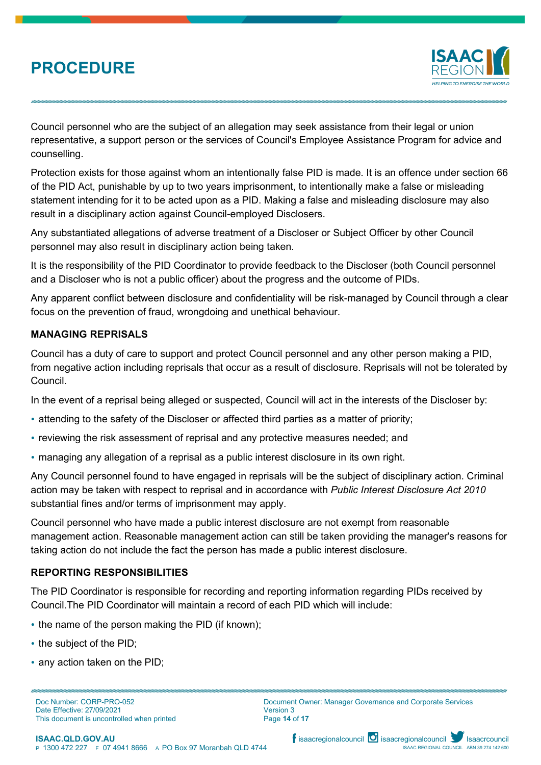

Council personnel who are the subject of an allegation may seek assistance from their legal or union representative, a support person or the services of Council's Employee Assistance Program for advice and counselling.

Protection exists for those against whom an intentionally false PID is made. It is an offence under section 66 of the PID Act, punishable by up to two years imprisonment, to intentionally make a false or misleading statement intending for it to be acted upon as a PID. Making a false and misleading disclosure may also result in a disciplinary action against Council-employed Disclosers.

Any substantiated allegations of adverse treatment of a Discloser or Subject Officer by other Council personnel may also result in disciplinary action being taken.

It is the responsibility of the PID Coordinator to provide feedback to the Discloser (both Council personnel and a Discloser who is not a public officer) about the progress and the outcome of PIDs.

Any apparent conflict between disclosure and confidentiality will be risk-managed by Council through a clear focus on the prevention of fraud, wrongdoing and unethical behaviour.

### **MANAGING REPRISALS**

Council has a duty of care to support and protect Council personnel and any other person making a PID, from negative action including reprisals that occur as a result of disclosure. Reprisals will not be tolerated by Council.

In the event of a reprisal being alleged or suspected, Council will act in the interests of the Discloser by:

- attending to the safety of the Discloser or affected third parties as a matter of priority;
- reviewing the risk assessment of reprisal and any protective measures needed; and
- managing any allegation of a reprisal as a public interest disclosure in its own right.

Any Council personnel found to have engaged in reprisals will be the subject of disciplinary action. Criminal action may be taken with respect to reprisal and in accordance with *Public Interest Disclosure Act 2010*  substantial fines and/or terms of imprisonment may apply.

Council personnel who have made a public interest disclosure are not exempt from reasonable management action. Reasonable management action can still be taken providing the manager's reasons for taking action do not include the fact the person has made a public interest disclosure.

### **REPORTING RESPONSIBILITIES**

The PID Coordinator is responsible for recording and reporting information regarding PIDs received by Council.The PID Coordinator will maintain a record of each PID which will include:

- the name of the person making the PID (if known);
- the subject of the PID;
- any action taken on the PID;

Doc Number: CORP-PRO-052 Date Effective: 27/09/2021 This document is uncontrolled when printed Document Owner: Manager Governance and Corporate Services Version 3 Page **14** of **17**

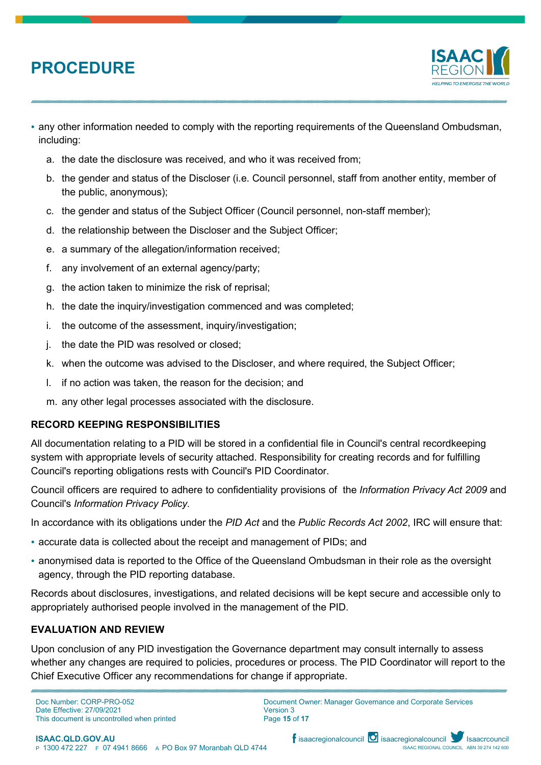

- any other information needed to comply with the reporting requirements of the Queensland Ombudsman, including:
	- a. the date the disclosure was received, and who it was received from;
	- b. the gender and status of the Discloser (i.e. Council personnel, staff from another entity, member of the public, anonymous);
	- c. the gender and status of the Subject Officer (Council personnel, non-staff member);
	- d. the relationship between the Discloser and the Subject Officer;
	- e. a summary of the allegation/information received;
	- f. any involvement of an external agency/party;
	- g. the action taken to minimize the risk of reprisal;
	- h. the date the inquiry/investigation commenced and was completed;
	- i. the outcome of the assessment, inquiry/investigation;
	- j. the date the PID was resolved or closed;
	- k. when the outcome was advised to the Discloser, and where required, the Subject Officer;
	- l. if no action was taken, the reason for the decision; and
	- m. any other legal processes associated with the disclosure.

### **RECORD KEEPING RESPONSIBILITIES**

All documentation relating to a PID will be stored in a confidential file in Council's central recordkeeping system with appropriate levels of security attached. Responsibility for creating records and for fulfilling Council's reporting obligations rests with Council's PID Coordinator.

Council officers are required to adhere to confidentiality provisions of the *Information Privacy Act 2009* and Council's *Information Privacy Policy*.

In accordance with its obligations under the *PID Act* and the *Public Records Act 2002*, IRC will ensure that:

- accurate data is collected about the receipt and management of PIDs; and
- anonymised data is reported to the Office of the Queensland Ombudsman in their role as the oversight agency, through the PID reporting database.

Records about disclosures, investigations, and related decisions will be kept secure and accessible only to appropriately authorised people involved in the management of the PID.

### **EVALUATION AND REVIEW**

Upon conclusion of any PID investigation the Governance department may consult internally to assess whether any changes are required to policies, procedures or process. The PID Coordinator will report to the Chief Executive Officer any recommendations for change if appropriate.

Doc Number: CORP-PRO-052 Date Effective: 27/09/2021 This document is uncontrolled when printed Document Owner: Manager Governance and Corporate Services Version 3 Page **15** of **17**



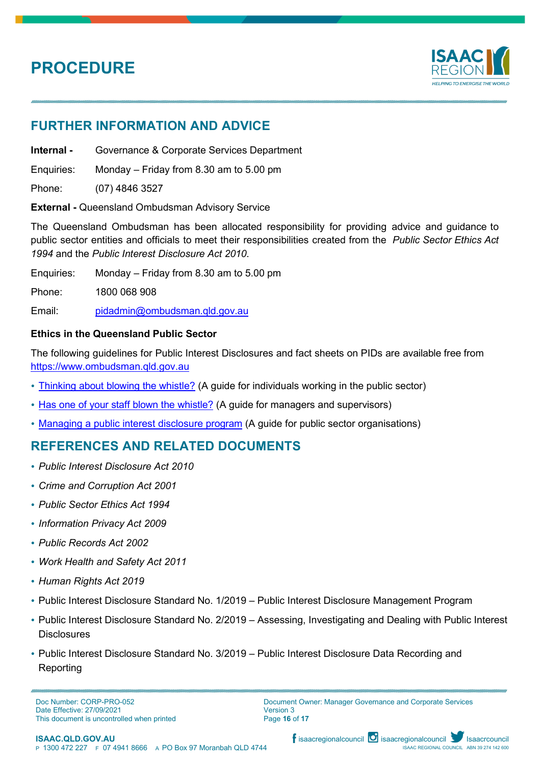

## **FURTHER INFORMATION AND ADVICE**

**Internal -** Governance & Corporate Services Department

Enquiries: Monday – Friday from 8.30 am to 5.00 pm

Phone: (07) 4846 3527

**External -** Queensland Ombudsman [Advisory](http://www.psc.qld.gov.au/page/psc-advisory-service/index.shtml) Service

The Queensland Ombudsman has been allocated responsibility for providing advice and guidance to public sector entities and officials to meet their responsibilities created from the *Public Sector Ethics Act 1994* and the *Public Interest Disclosure Act 2010*.

Enquiries: Monday – Friday from 8.30 am to 5.00 pm

Phone: 1800 068 908

Email: [pidadmin@ombudsman.qld.gov.au](mailto:pidadmin@ombudsman.qld.gov.au)

## **Ethics in the Queensland Public Sector**

The following guidelines for Public Interest Disclosures and fact sheets on PIDs are available free from [https://www.ombudsman.qld.gov.au](https://www.ombudsman.qld.gov.au/)

- [Thinking](https://www.ombudsman.qld.gov.au/improve-public-administration/public-interest-disclosures/public-interest-disclosure-resources/public-interest-disclosure-guides) about blowing the whistle? (A guide for individuals working in the public sector)
- Has one of your [staff blown](https://www.ombudsman.qld.gov.au/improve-public-administration/public-interest-disclosures/public-interest-disclosure-resources/public-interest-disclosure-guides) the whistle? (A guide for managers and supervisors)
- [Managing a public interest disclosure program](https://www.ombudsman.qld.gov.au/improve-public-administration/public-interest-disclosures/public-interest-disclosure-resources/public-interest-disclosure-guides) (A guide for public sector [organisations\)](https://www.ombudsman.qld.gov.au/improve-public-administration/public-interest-disclosures/public-interest-disclosure-resources/public-interest-disclosure-guides)

## **REFERENCES AND RELATED DOCUMENTS**

- *Public Interest Disclosure Act 2010*
- *Crime and Corruption Act 2001*
- *Public Sector Ethics Act 1994*
- *Information Privacy Act 2009*
- *Public Records Act 2002*
- *Work Health and Safety Act 2011*
- *Human Rights Act 2019*
- Public Interest Disclosure Standard No. 1/2019 Public Interest Disclosure Management Program
- Public Interest Disclosure Standard No. 2/2019 Assessing, Investigating and Dealing with Public Interest **Disclosures**
- Public Interest Disclosure Standard No. 3/2019 Public Interest Disclosure Data Recording and Reporting

Doc Number: CORP-PRO-052 Date Effective: 27/09/2021 This document is uncontrolled when printed Document Owner: Manager Governance and Corporate Services Version 3 Page **16** of **17**